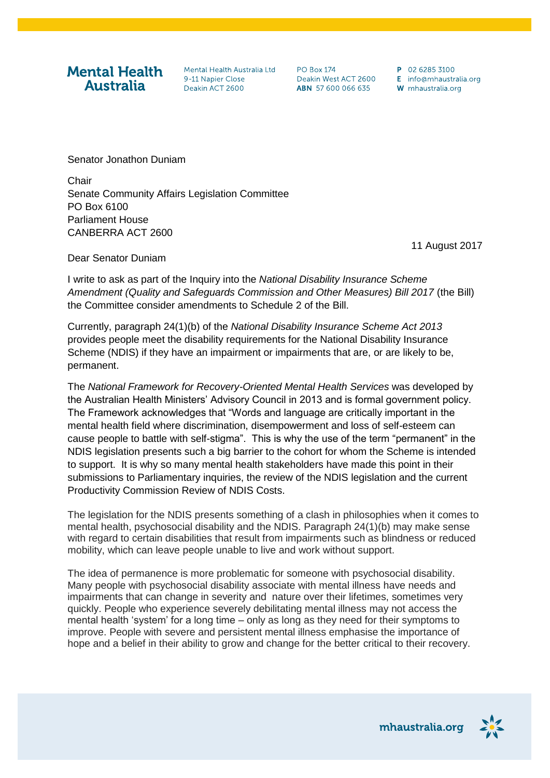## **Mental Health Australia**

Mental Health Australia Ltd 9-11 Nanier Close Deakin ACT 2600

**PO Box 174** Deakin West ACT 2600 ABN 57 600 066 635

P 02 6285 3100 E info@mhaustralia.org W mhaustralia.org

Senator Jonathon Duniam

**Chair** Senate Community Affairs Legislation Committee PO Box 6100 Parliament House CANBERRA ACT 2600

11 August 2017

Dear Senator Duniam

I write to ask as part of the Inquiry into the *National Disability Insurance Scheme Amendment (Quality and Safeguards Commission and Other Measures) Bill 2017* (the Bill) the Committee consider amendments to Schedule 2 of the Bill.

Currently, paragraph 24(1)(b) of the *National Disability Insurance Scheme Act 2013*  provides people meet the disability requirements for the National Disability Insurance Scheme (NDIS) if they have an impairment or impairments that are, or are likely to be, permanent.

The *National Framework for Recovery-Oriented Mental Health Services* was developed by the Australian Health Ministers' Advisory Council in 2013 and is formal government policy. The Framework acknowledges that "Words and language are critically important in the mental health field where discrimination, disempowerment and loss of self-esteem can cause people to battle with self-stigma". This is why the use of the term "permanent" in the NDIS legislation presents such a big barrier to the cohort for whom the Scheme is intended to support. It is why so many mental health stakeholders have made this point in their submissions to Parliamentary inquiries, the review of the NDIS legislation and the current Productivity Commission Review of NDIS Costs.

The legislation for the NDIS presents something of a clash in philosophies when it comes to mental health, psychosocial disability and the NDIS. Paragraph 24(1)(b) may make sense with regard to certain disabilities that result from impairments such as blindness or reduced mobility, which can leave people unable to live and work without support.

The idea of permanence is more problematic for someone with psychosocial disability. Many people with psychosocial disability associate with mental illness have needs and impairments that can change in severity and nature over their lifetimes, sometimes very quickly. People who experience severely debilitating mental illness may not access the mental health 'system' for a long time – only as long as they need for their symptoms to improve. People with severe and persistent mental illness emphasise the importance of hope and a belief in their ability to grow and change for the better critical to their recovery.

mhaustralia.org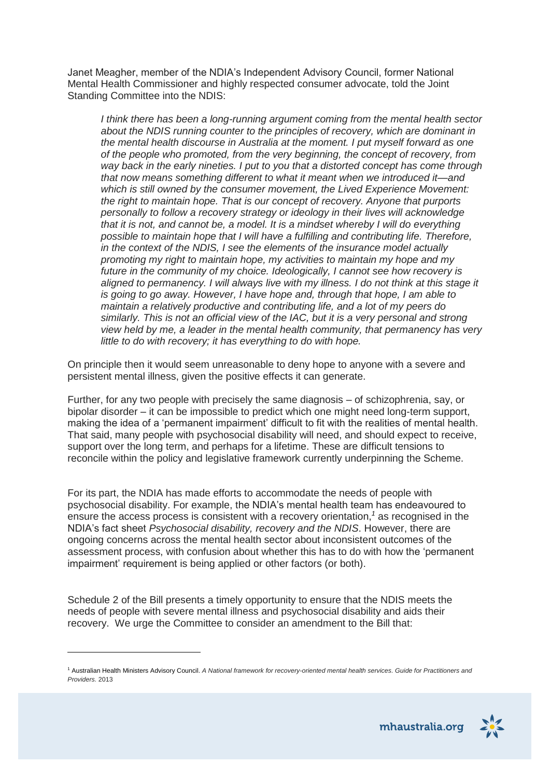Janet Meagher, member of the NDIA's Independent Advisory Council, former National Mental Health Commissioner and highly respected consumer advocate, told the Joint Standing Committee into the NDIS:

*I think there has been a long-running argument coming from the mental health sector about the NDIS running counter to the principles of recovery, which are dominant in the mental health discourse in Australia at the moment. I put myself forward as one of the people who promoted, from the very beginning, the concept of recovery, from way back in the early nineties. I put to you that a distorted concept has come through that now means something different to what it meant when we introduced it—and which is still owned by the consumer movement, the Lived Experience Movement: the right to maintain hope. That is our concept of recovery. Anyone that purports personally to follow a recovery strategy or ideology in their lives will acknowledge that it is not, and cannot be, a model. It is a mindset whereby I will do everything possible to maintain hope that I will have a fulfilling and contributing life. Therefore, in the context of the NDIS, I see the elements of the insurance model actually promoting my right to maintain hope, my activities to maintain my hope and my future in the community of my choice. Ideologically, I cannot see how recovery is aligned to permanency. I will always live with my illness. I do not think at this stage it is going to go away. However, I have hope and, through that hope, I am able to maintain a relatively productive and contributing life, and a lot of my peers do similarly. This is not an official view of the IAC, but it is a very personal and strong view held by me, a leader in the mental health community, that permanency has very little to do with recovery; it has everything to do with hope.*

On principle then it would seem unreasonable to deny hope to anyone with a severe and persistent mental illness, given the positive effects it can generate.

Further, for any two people with precisely the same diagnosis – of schizophrenia, say, or bipolar disorder – it can be impossible to predict which one might need long-term support, making the idea of a 'permanent impairment' difficult to fit with the realities of mental health. That said, many people with psychosocial disability will need, and should expect to receive, support over the long term, and perhaps for a lifetime. These are difficult tensions to reconcile within the policy and legislative framework currently underpinning the Scheme.

For its part, the NDIA has made efforts to accommodate the needs of people with psychosocial disability. For example, the NDIA's mental health team has endeavoured to ensure the access process is consistent with a recovery orientation,*<sup>1</sup>* as recognised in the NDIA's fact sheet *Psychosocial disability, recovery and the NDIS*. However, there are ongoing concerns across the mental health sector about inconsistent outcomes of the assessment process, with confusion about whether this has to do with how the 'permanent impairment' requirement is being applied or other factors (or both).

Schedule 2 of the Bill presents a timely opportunity to ensure that the NDIS meets the needs of people with severe mental illness and psychosocial disability and aids their recovery. We urge the Committee to consider an amendment to the Bill that:

<sup>1</sup> Australian Health Ministers Advisory Council. *A National framework for recovery-oriented mental health services. Guide for Practitioners and Providers.* 2013